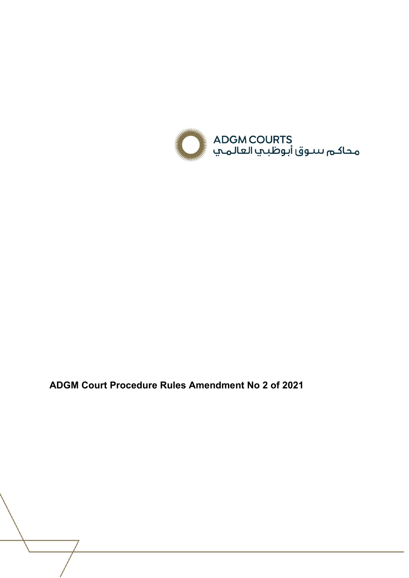

**ADGM Court Procedure Rules Amendment No 2 of 2021**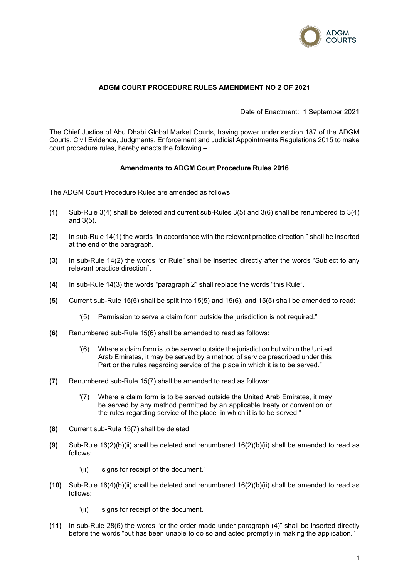

# **ADGM COURT PROCEDURE RULES AMENDMENT NO 2 OF 2021**

Date of Enactment: 1 September 2021

The Chief Justice of Abu Dhabi Global Market Courts, having power under section 187 of the ADGM Courts, Civil Evidence, Judgments, Enforcement and Judicial Appointments Regulations 2015 to make court procedure rules, hereby enacts the following –

## **Amendments to ADGM Court Procedure Rules 2016**

The ADGM Court Procedure Rules are amended as follows:

- **(1)** Sub-Rule 3(4) shall be deleted and current sub-Rules 3(5) and 3(6) shall be renumbered to 3(4) and 3(5).
- **(2)** In sub-Rule 14(1) the words "in accordance with the relevant practice direction." shall be inserted at the end of the paragraph.
- **(3)** In sub-Rule 14(2) the words "or Rule" shall be inserted directly after the words "Subject to any relevant practice direction".
- **(4)** In sub-Rule 14(3) the words "paragraph 2" shall replace the words "this Rule".
- **(5)** Current sub-Rule 15(5) shall be split into 15(5) and 15(6), and 15(5) shall be amended to read:
	- "(5) Permission to serve a claim form outside the jurisdiction is not required."
- **(6)** Renumbered sub-Rule 15(6) shall be amended to read as follows:
	- "(6) Where a claim form is to be served outside the jurisdiction but within the United Arab Emirates, it may be served by a method of service prescribed under this Part or the rules regarding service of the place in which it is to be served."
- **(7)** Renumbered sub-Rule 15(7) shall be amended to read as follows:
	- "(7) Where a claim form is to be served outside the United Arab Emirates, it may be served by any method permitted by an applicable treaty or convention or the rules regarding service of the place in which it is to be served."
- **(8)** Current sub-Rule 15(7) shall be deleted.
- **(9)** Sub-Rule 16(2)(b)(ii) shall be deleted and renumbered 16(2)(b)(ii) shall be amended to read as follows:
	- "(ii) signs for receipt of the document."
- **(10)** Sub-Rule 16(4)(b)(ii) shall be deleted and renumbered 16(2)(b)(ii) shall be amended to read as follows:
	- "(ii) signs for receipt of the document."
- **(11)** In sub-Rule 28(6) the words "or the order made under paragraph (4)" shall be inserted directly before the words "but has been unable to do so and acted promptly in making the application."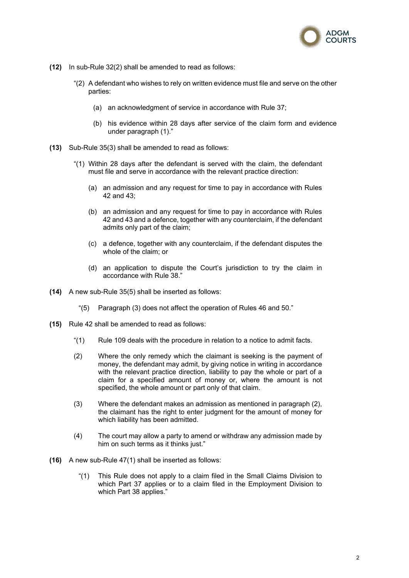

- **(12)** In sub-Rule 32(2) shall be amended to read as follows:
	- "(2) A defendant who wishes to rely on written evidence must file and serve on the other parties:
		- (a) an acknowledgment of service in accordance with Rule 37;
		- (b) his evidence within 28 days after service of the claim form and evidence under paragraph (1)."
- **(13)** Sub-Rule 35(3) shall be amended to read as follows:
	- "(1) Within 28 days after the defendant is served with the claim, the defendant must file and serve in accordance with the relevant practice direction:
		- (a) an admission and any request for time to pay in accordance with Rules 42 and 43;
		- (b) an admission and any request for time to pay in accordance with Rules 42 and 43 and a defence, together with any counterclaim, if the defendant admits only part of the claim;
		- (c) a defence, together with any counterclaim, if the defendant disputes the whole of the claim; or
		- (d) an application to dispute the Court's jurisdiction to try the claim in accordance with Rule 38."
- **(14)** A new sub-Rule 35(5) shall be inserted as follows:
	- "(5) Paragraph (3) does not affect the operation of Rules 46 and 50."
- **(15)** Rule 42 shall be amended to read as follows:
	- "(1) Rule 109 deals with the procedure in relation to a notice to admit facts.
	- (2) Where the only remedy which the claimant is seeking is the payment of money, the defendant may admit, by giving notice in writing in accordance with the relevant practice direction, liability to pay the whole or part of a claim for a specified amount of money or, where the amount is not specified, the whole amount or part only of that claim.
	- (3) Where the defendant makes an admission as mentioned in paragraph (2), the claimant has the right to enter judgment for the amount of money for which liability has been admitted.
	- (4) The court may allow a party to amend or withdraw any admission made by him on such terms as it thinks just."
- **(16)** A new sub-Rule 47(1) shall be inserted as follows:
	- "(1) This Rule does not apply to a claim filed in the Small Claims Division to which Part 37 applies or to a claim filed in the Employment Division to which Part 38 applies."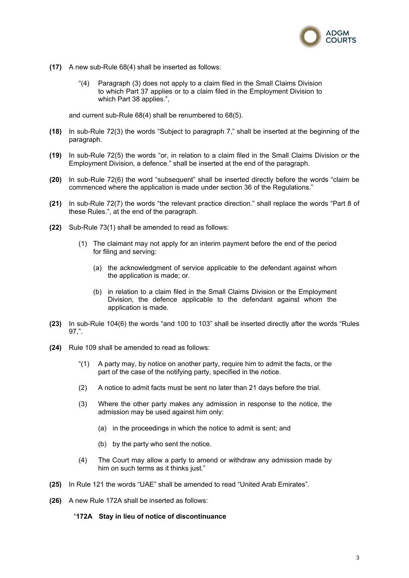

- **(17)** A new sub-Rule 68(4) shall be inserted as follows:
	- "(4) Paragraph (3) does not apply to a claim filed in the Small Claims Division to which Part 37 applies or to a claim filed in the Employment Division to which Part 38 applies.",

and current sub-Rule 68(4) shall be renumbered to 68(5).

- **(18)** In sub-Rule 72(3) the words "Subject to paragraph 7," shall be inserted at the beginning of the paragraph.
- **(19)** In sub-Rule 72(5) the words "or, in relation to a claim filed in the Small Claims Division or the Employment Division, a defence." shall be inserted at the end of the paragraph.
- **(20)** In sub-Rule 72(6) the word "subsequent" shall be inserted directly before the words "claim be commenced where the application is made under section 36 of the Regulations."
- **(21)** In sub-Rule 72(7) the words "the relevant practice direction." shall replace the words "Part 8 of these Rules.", at the end of the paragraph.
- **(22)** Sub-Rule 73(1) shall be amended to read as follows:
	- (1) The claimant may not apply for an interim payment before the end of the period for filing and serving:
		- (a) the acknowledgment of service applicable to the defendant against whom the application is made; or.
		- (b) in relation to a claim filed in the Small Claims Division or the Employment Division, the defence applicable to the defendant against whom the application is made.
- **(23)** In sub-Rule 104(6) the words "and 100 to 103" shall be inserted directly after the words "Rules 97,".
- **(24)** Rule 109 shall be amended to read as follows:
	- "(1) A party may, by notice on another party, require him to admit the facts, or the part of the case of the notifying party, specified in the notice.
	- (2) A notice to admit facts must be sent no later than 21 days before the trial.
	- (3) Where the other party makes any admission in response to the notice, the admission may be used against him only:
		- (a) in the proceedings in which the notice to admit is sent; and
		- (b) by the party who sent the notice.
	- (4) The Court may allow a party to amend or withdraw any admission made by him on such terms as it thinks just."
- **(25)** In Rule 121 the words "UAE" shall be amended to read "United Arab Emirates".
- **(26)** A new Rule 172A shall be inserted as follows:

#### "**172A Stay in lieu of notice of discontinuance**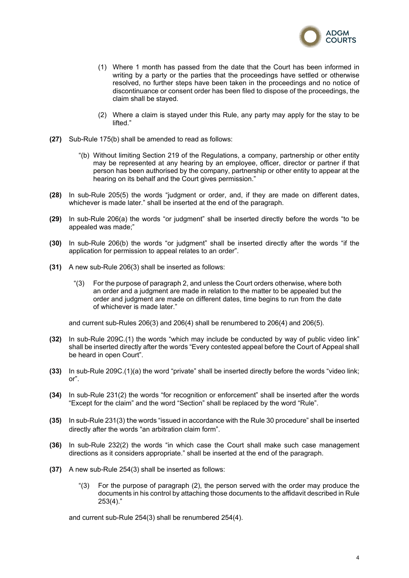

- (1) Where 1 month has passed from the date that the Court has been informed in writing by a party or the parties that the proceedings have settled or otherwise resolved, no further steps have been taken in the proceedings and no notice of discontinuance or consent order has been filed to dispose of the proceedings, the claim shall be stayed.
- (2) Where a claim is stayed under this Rule, any party may apply for the stay to be lifted."
- **(27)** Sub-Rule 175(b) shall be amended to read as follows:
	- "(b) Without limiting Section 219 of the Regulations, a company, partnership or other entity may be represented at any hearing by an employee, officer, director or partner if that person has been authorised by the company, partnership or other entity to appear at the hearing on its behalf and the Court gives permission."
- **(28)** In sub-Rule 205(5) the words "judgment or order, and, if they are made on different dates, whichever is made later." shall be inserted at the end of the paragraph.
- **(29)** In sub-Rule 206(a) the words "or judgment" shall be inserted directly before the words "to be appealed was made;"
- **(30)** In sub-Rule 206(b) the words "or judgment" shall be inserted directly after the words "if the application for permission to appeal relates to an order".
- **(31)** A new sub-Rule 206(3) shall be inserted as follows:
	- "(3) For the purpose of paragraph 2, and unless the Court orders otherwise, where both an order and a judgment are made in relation to the matter to be appealed but the order and judgment are made on different dates, time begins to run from the date of whichever is made later."

and current sub-Rules 206(3) and 206(4) shall be renumbered to 206(4) and 206(5).

- **(32)** In sub-Rule 209C.(1) the words "which may include be conducted by way of public video link" shall be inserted directly after the words "Every contested appeal before the Court of Appeal shall be heard in open Court".
- **(33)** In sub-Rule 209C.(1)(a) the word "private" shall be inserted directly before the words "video link; or".
- **(34)** In sub-Rule 231(2) the words "for recognition or enforcement" shall be inserted after the words "Except for the claim" and the word "Section" shall be replaced by the word "Rule".
- **(35)** In sub-Rule 231(3) the words "issued in accordance with the Rule 30 procedure" shall be inserted directly after the words "an arbitration claim form".
- **(36)** In sub-Rule 232(2) the words "in which case the Court shall make such case management directions as it considers appropriate." shall be inserted at the end of the paragraph.
- **(37)** A new sub-Rule 254(3) shall be inserted as follows:
	- " $(3)$  For the purpose of paragraph  $(2)$ , the person served with the order may produce the documents in his control by attaching those documents to the affidavit described in Rule 253(4)."

and current sub-Rule 254(3) shall be renumbered 254(4).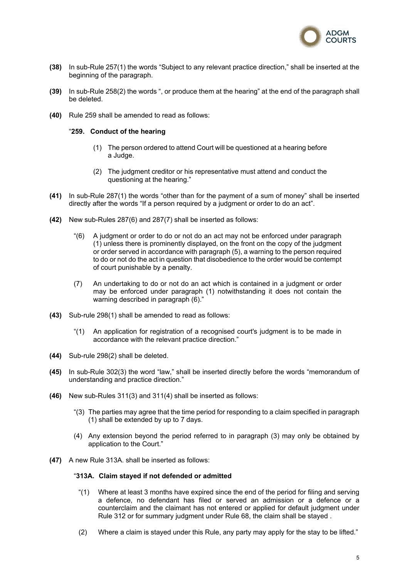

- **(38)** In sub-Rule 257(1) the words "Subject to any relevant practice direction," shall be inserted at the beginning of the paragraph.
- **(39)** In sub-Rule 258(2) the words ", or produce them at the hearing" at the end of the paragraph shall be deleted.
- **(40)** Rule 259 shall be amended to read as follows:

### "**259. Conduct of the hearing**

- (1) The person ordered to attend Court will be questioned at a hearing before a Judge.
- (2) The judgment creditor or his representative must attend and conduct the questioning at the hearing."
- **(41)** In sub-Rule 287(1) the words "other than for the payment of a sum of money" shall be inserted directly after the words "If a person required by a judgment or order to do an act".
- **(42)** New sub-Rules 287(6) and 287(7) shall be inserted as follows:
	- "(6) A judgment or order to do or not do an act may not be enforced under paragraph (1) unless there is prominently displayed, on the front on the copy of the judgment or order served in accordance with paragraph (5), a warning to the person required to do or not do the act in question that disobedience to the order would be contempt of court punishable by a penalty.
	- (7) An undertaking to do or not do an act which is contained in a judgment or order may be enforced under paragraph (1) notwithstanding it does not contain the warning described in paragraph (6)."
- **(43)** Sub-rule 298(1) shall be amended to read as follows:
	- "(1) An application for registration of a recognised court's judgment is to be made in accordance with the relevant practice direction."
- **(44)** Sub-rule 298(2) shall be deleted.
- **(45)** In sub-Rule 302(3) the word "law," shall be inserted directly before the words "memorandum of understanding and practice direction."
- **(46)** New sub-Rules 311(3) and 311(4) shall be inserted as follows:
	- "(3) The parties may agree that the time period for responding to a claim specified in paragraph (1) shall be extended by up to 7 days.
	- (4) Any extension beyond the period referred to in paragraph (3) may only be obtained by application to the Court."
- **(47)** A new Rule 313A. shall be inserted as follows:

## "**313A. Claim stayed if not defended or admitted**

- "(1) Where at least 3 months have expired since the end of the period for filing and serving a defence, no defendant has filed or served an admission or a defence or a counterclaim and the claimant has not entered or applied for default judgment under Rule 312 or for summary judgment under Rule 68, the claim shall be stayed .
- (2) Where a claim is stayed under this Rule, any party may apply for the stay to be lifted."